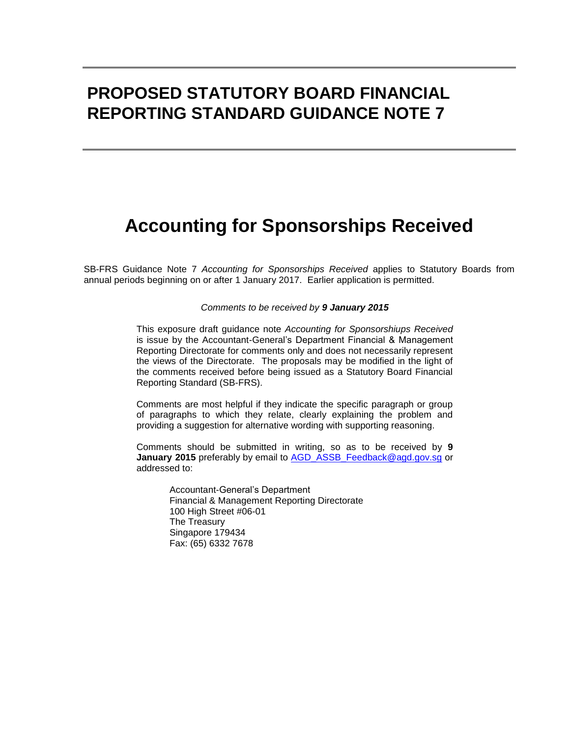## **PROPOSED STATUTORY BOARD FINANCIAL REPORTING STANDARD GUIDANCE NOTE 7**

# **Accounting for Sponsorships Received**

SB-FRS Guidance Note 7 *Accounting for Sponsorships Received* applies to Statutory Boards from annual periods beginning on or after 1 January 2017. Earlier application is permitted.

#### *Comments to be received by 9 January 2015*

This exposure draft guidance note *Accounting for Sponsorshiups Received* is issue by the Accountant-General's Department Financial & Management Reporting Directorate for comments only and does not necessarily represent the views of the Directorate. The proposals may be modified in the light of the comments received before being issued as a Statutory Board Financial Reporting Standard (SB-FRS).

Comments are most helpful if they indicate the specific paragraph or group of paragraphs to which they relate, clearly explaining the problem and providing a suggestion for alternative wording with supporting reasoning.

Comments should be submitted in writing, so as to be received by **9 January 2015** preferably by email to AGD ASSB\_Feedback@agd.gov.sg or addressed to:

> Accountant-General's Department Financial & Management Reporting Directorate 100 High Street #06-01 The Treasury Singapore 179434 Fax: (65) 6332 7678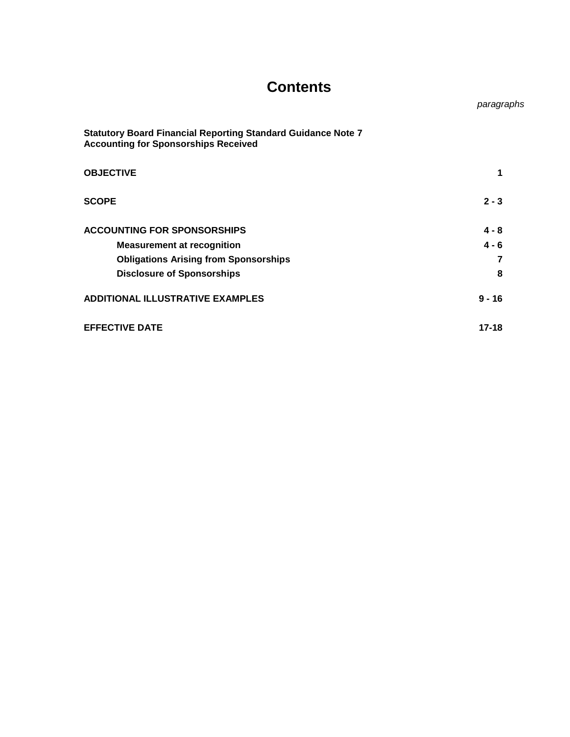## **Contents**

 *paragraphs*

| <b>Statutory Board Financial Reporting Standard Guidance Note 7</b><br><b>Accounting for Sponsorships Received</b> |           |
|--------------------------------------------------------------------------------------------------------------------|-----------|
| <b>OBJECTIVE</b>                                                                                                   | 1         |
| <b>SCOPE</b>                                                                                                       | $2 - 3$   |
| <b>ACCOUNTING FOR SPONSORSHIPS</b>                                                                                 | $4 - 8$   |
| <b>Measurement at recognition</b>                                                                                  | $4 - 6$   |
| <b>Obligations Arising from Sponsorships</b>                                                                       | 7         |
| <b>Disclosure of Sponsorships</b>                                                                                  | 8         |
| <b>ADDITIONAL ILLUSTRATIVE EXAMPLES</b>                                                                            | $9 - 16$  |
| <b>EFFECTIVE DATE</b>                                                                                              | $17 - 18$ |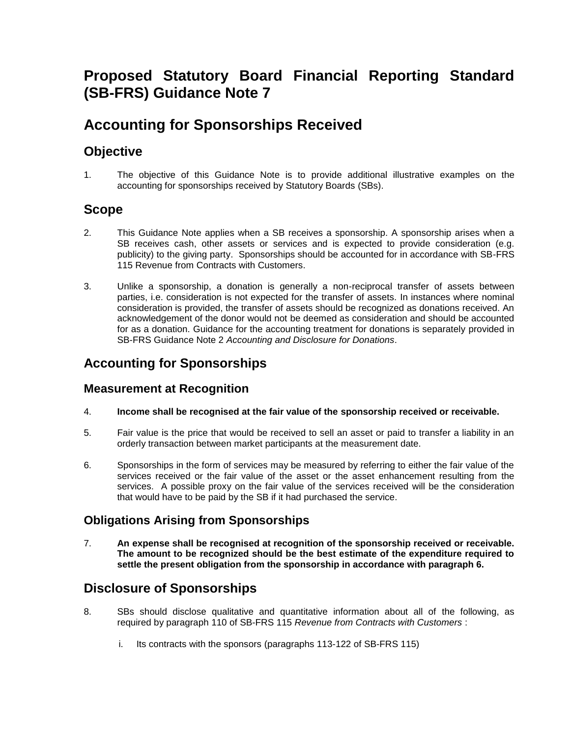## **Proposed Statutory Board Financial Reporting Standard (SB-FRS) Guidance Note 7**

## **Accounting for Sponsorships Received**

## **Objective**

1. The objective of this Guidance Note is to provide additional illustrative examples on the accounting for sponsorships received by Statutory Boards (SBs).

## **Scope**

- 2. This Guidance Note applies when a SB receives a sponsorship. A sponsorship arises when a SB receives cash, other assets or services and is expected to provide consideration (e.g. publicity) to the giving party. Sponsorships should be accounted for in accordance with SB-FRS 115 Revenue from Contracts with Customers.
- 3. Unlike a sponsorship, a donation is generally a non-reciprocal transfer of assets between parties, i.e. consideration is not expected for the transfer of assets. In instances where nominal consideration is provided, the transfer of assets should be recognized as donations received. An acknowledgement of the donor would not be deemed as consideration and should be accounted for as a donation. Guidance for the accounting treatment for donations is separately provided in SB-FRS Guidance Note 2 *Accounting and Disclosure for Donations*.

## **Accounting for Sponsorships**

#### **Measurement at Recognition**

- 4. **Income shall be recognised at the fair value of the sponsorship received or receivable.**
- 5. Fair value is the price that would be received to sell an asset or paid to transfer a liability in an orderly transaction between market participants at the measurement date.
- 6. Sponsorships in the form of services may be measured by referring to either the fair value of the services received or the fair value of the asset or the asset enhancement resulting from the services. A possible proxy on the fair value of the services received will be the consideration that would have to be paid by the SB if it had purchased the service.

### **Obligations Arising from Sponsorships**

7. **An expense shall be recognised at recognition of the sponsorship received or receivable. The amount to be recognized should be the best estimate of the expenditure required to settle the present obligation from the sponsorship in accordance with paragraph 6.**

## **Disclosure of Sponsorships**

- 8. SBs should disclose qualitative and quantitative information about all of the following, as required by paragraph 110 of SB-FRS 115 *Revenue from Contracts with Customers* :
	- i. Its contracts with the sponsors (paragraphs 113-122 of SB-FRS 115)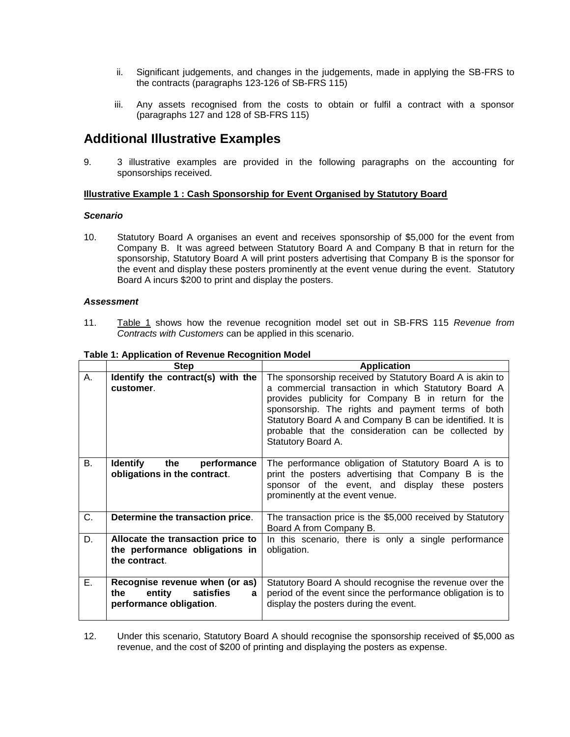- ii. Significant judgements, and changes in the judgements, made in applying the SB-FRS to the contracts (paragraphs 123-126 of SB-FRS 115)
- iii. Any assets recognised from the costs to obtain or fulfil a contract with a sponsor (paragraphs 127 and 128 of SB-FRS 115)

### **Additional Illustrative Examples**

9. 3 illustrative examples are provided in the following paragraphs on the accounting for sponsorships received.

#### **Illustrative Example 1 : Cash Sponsorship for Event Organised by Statutory Board**

#### *Scenario*

10. Statutory Board A organises an event and receives sponsorship of \$5,000 for the event from Company B. It was agreed between Statutory Board A and Company B that in return for the sponsorship, Statutory Board A will print posters advertising that Company B is the sponsor for the event and display these posters prominently at the event venue during the event. Statutory Board A incurs \$200 to print and display the posters.

#### *Assessment*

11. Table 1 shows how the revenue recognition model set out in SB-FRS 115 *Revenue from Contracts with Customers* can be applied in this scenario.

|    | <b>Step</b>                                                                                   | <b>Application</b>                                                                                                                                                                                                                                                                                                                                                  |
|----|-----------------------------------------------------------------------------------------------|---------------------------------------------------------------------------------------------------------------------------------------------------------------------------------------------------------------------------------------------------------------------------------------------------------------------------------------------------------------------|
| A. | Identify the contract(s) with the<br>customer.                                                | The sponsorship received by Statutory Board A is akin to<br>a commercial transaction in which Statutory Board A<br>provides publicity for Company B in return for the<br>sponsorship. The rights and payment terms of both<br>Statutory Board A and Company B can be identified. It is<br>probable that the consideration can be collected by<br>Statutory Board A. |
| В. | <b>Identify</b><br>the<br>performance<br>obligations in the contract.                         | The performance obligation of Statutory Board A is to<br>print the posters advertising that Company B is the<br>sponsor of the event, and display these posters<br>prominently at the event venue.                                                                                                                                                                  |
| C. | Determine the transaction price.                                                              | The transaction price is the \$5,000 received by Statutory<br>Board A from Company B.                                                                                                                                                                                                                                                                               |
| D. | Allocate the transaction price to<br>the performance obligations in<br>the contract.          | In this scenario, there is only a single performance<br>obligation.                                                                                                                                                                                                                                                                                                 |
| Ε. | Recognise revenue when (or as)<br>satisfies<br>entity<br>the⊹<br>a<br>performance obligation. | Statutory Board A should recognise the revenue over the<br>period of the event since the performance obligation is to<br>display the posters during the event.                                                                                                                                                                                                      |

#### **Table 1: Application of Revenue Recognition Model**

12. Under this scenario, Statutory Board A should recognise the sponsorship received of \$5,000 as revenue, and the cost of \$200 of printing and displaying the posters as expense.